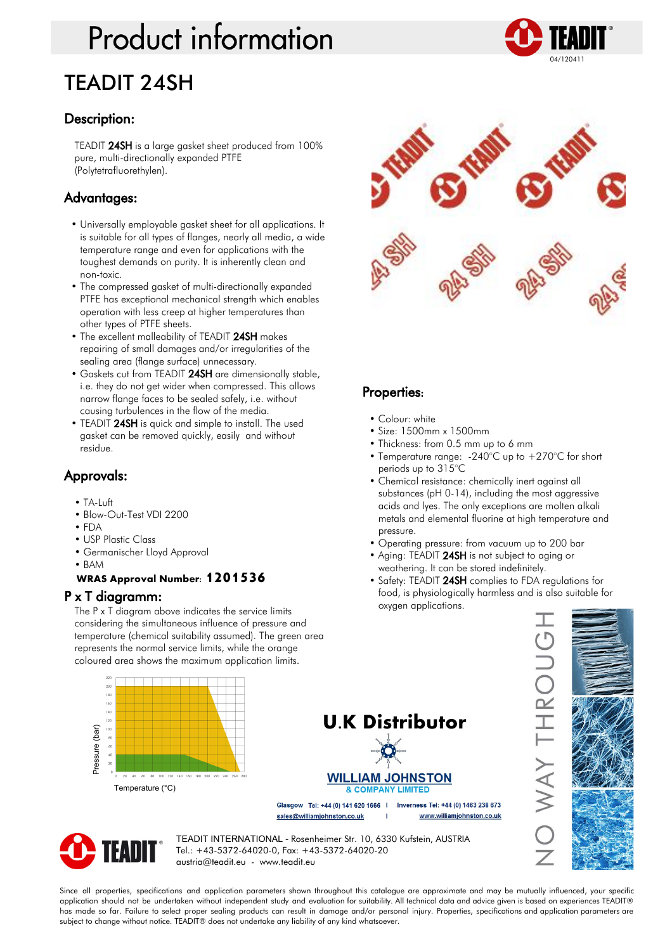## **Product information** TEADIT 24SH



TEADIT 24SH is a large gasket sheet produced from 100% pure, multi-directionally expanded PTFE (Polytetrafluorethylen).

#### Advantages:

- Universally employable gasket sheet for all applications. It is suitable for all types of flanges, nearly all media, a wide temperature range and even for applications with the toughest demands on purity. It is inherently clean and non-toxic.
- The compressed gasket of multi-directionally expanded PTFE has exceptional mechanical strength which enables operation with less creep at higher temperatures than other types of PTFE sheets.
- The excellent malleability of TEADIT 24SH makes repairing of small damages and/or irregularities of the sealing area (flange surface) unnecessary.
- Gaskets cut from TEADIT 24SH are dimensionally stable, i.e. they do not get wider when compressed. This allows narrow flange faces to be sealed safely, i.e. without causing turbulences in the flow of the media.
- TEADIT 24SH is quick and simple to install. The used gasket can be removed quickly, easily and without residue.

#### Approvals:

- TA-Luft
- Blow-Out-Test VDI 2200
- FDA
- USP Plastic Class
- Germanischer Lloyd Approval
- BAM

#### **WRAS Approval Number: 1201536**

#### P x T diagramm:

The P x T diagram above indicates the service limits considering the simultaneous influence of pressure and temperature (chemical suitability assumed). The green area represents the normal service limits, while the orange coloured area shows the maximum application limits.



#### Properties:

- Colour: white
- Size: 1500mm x 1500mm
- Thickness: from 0.5 mm up to 6 mm
- Temperature range: -240°C up to +270°C for short periods up to 315°C
- Chemical resistance: chemically inert against all substances (pH 0-14), including the most aggressive acids and lyes. The only exceptions are molten alkali metals and elemental fluorine at high temperature and pressure.
- Operating pressure: from vacuum up to 200 bar
- Aging: TEADIT 24SH is not subject to aging or weathering. It can be stored indefinitely.
- Safety: TEADIT 24SH complies to FDA regulations for food, is physiologically harmless and is also suitable for oxygen applications.







Pressure (bar)

 $\overline{160}$  $140$  $\begin{bmatrix} 100 \\ 80 \end{bmatrix}$ Pressure (bar)

> TEADIT INTERNATIONAL - Rosenheimer Str. 10, 6330 Kufstein, AUSTRIA Tel.: +43-5372-64020-0, Fax: +43-5372-64020-20 austria@teadit.eu - www.teadit.eu

Since all properties, specifications and application parameters shown throughout this catalogue are approximate and may be mutually influenced, your specific application should not be undertaken without independent study and evaluation for suitability. All technical data and advice given is based on experiences TEADIT® has made so far. Failure to select proper sealing products can result in damage and/or personal injury. Properties, specifications and application parameters are subject to change without notice. TEADIT® does not undertake any liability of any kind whatsoever.